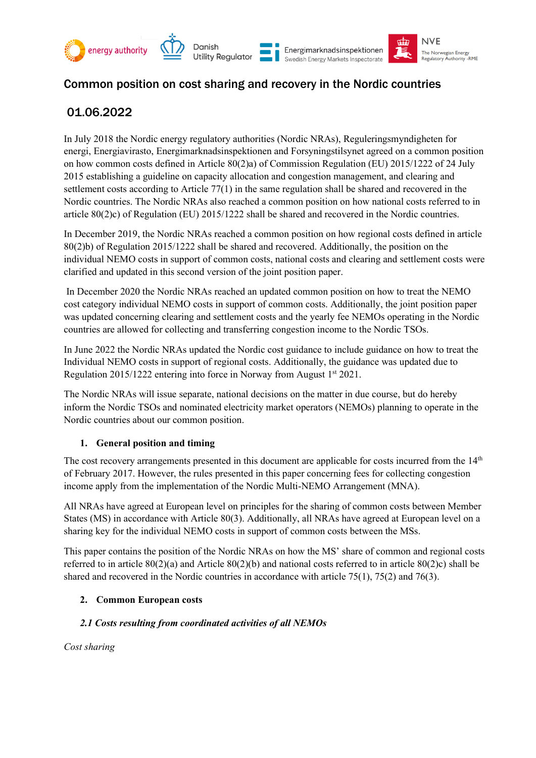

# Common position on cost sharing and recovery in the Nordic countries

# 01.06.2022

In July 2018 the Nordic energy regulatory authorities (Nordic NRAs), Reguleringsmyndigheten for energi, Energiavirasto, Energimarknadsinspektionen and Forsyningstilsynet agreed on a common position on how common costs defined in Article 80(2)a) of Commission Regulation (EU) 2015/1222 of 24 July 2015 establishing a guideline on capacity allocation and congestion management, and clearing and settlement costs according to Article 77(1) in the same regulation shall be shared and recovered in the Nordic countries. The Nordic NRAs also reached a common position on how national costs referred to in article 80(2)c) of Regulation (EU) 2015/1222 shall be shared and recovered in the Nordic countries.

In December 2019, the Nordic NRAs reached a common position on how regional costs defined in article 80(2)b) of Regulation 2015/1222 shall be shared and recovered. Additionally, the position on the individual NEMO costs in support of common costs, national costs and clearing and settlement costs were clarified and updated in this second version of the joint position paper.

In December 2020 the Nordic NRAs reached an updated common position on how to treat the NEMO cost category individual NEMO costs in support of common costs. Additionally, the joint position paper was updated concerning clearing and settlement costs and the yearly fee NEMOs operating in the Nordic countries are allowed for collecting and transferring congestion income to the Nordic TSOs.

In June 2022 the Nordic NRAs updated the Nordic cost guidance to include guidance on how to treat the Individual NEMO costs in support of regional costs. Additionally, the guidance was updated due to Regulation 2015/1222 entering into force in Norway from August 1st 2021.

The Nordic NRAs will issue separate, national decisions on the matter in due course, but do hereby inform the Nordic TSOs and nominated electricity market operators (NEMOs) planning to operate in the Nordic countries about our common position.

# **1. General position and timing**

The cost recovery arrangements presented in this document are applicable for costs incurred from the  $14<sup>th</sup>$ of February 2017. However, the rules presented in this paper concerning fees for collecting congestion income apply from the implementation of the Nordic Multi-NEMO Arrangement (MNA).

All NRAs have agreed at European level on principles for the sharing of common costs between Member States (MS) in accordance with Article 80(3). Additionally, all NRAs have agreed at European level on a sharing key for the individual NEMO costs in support of common costs between the MSs.

This paper contains the position of the Nordic NRAs on how the MS' share of common and regional costs referred to in article 80(2)(a) and Article 80(2)(b) and national costs referred to in article 80(2)c) shall be shared and recovered in the Nordic countries in accordance with article 75(1), 75(2) and 76(3).

# **2. Common European costs**

# *2.1 Costs resulting from coordinated activities of all NEMOs*

*Cost sharing*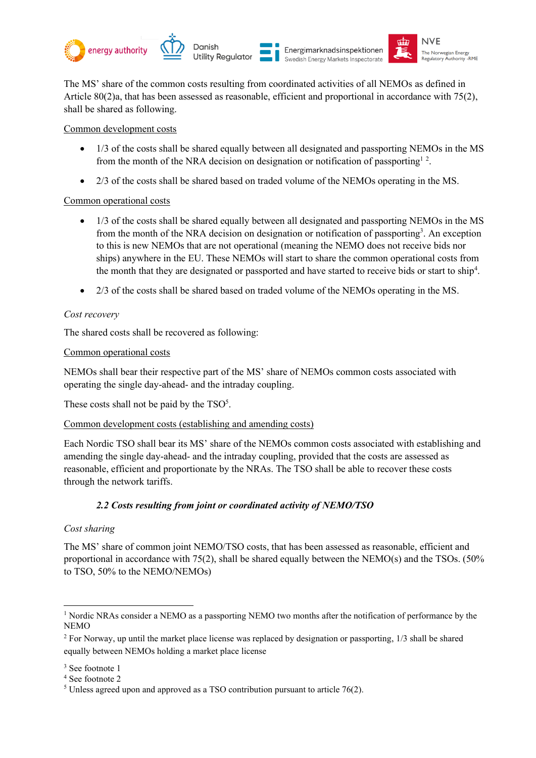





The MS' share of the common costs resulting from coordinated activities of all NEMOs as defined in Article 80(2)a, that has been assessed as reasonable, efficient and proportional in accordance with 75(2), shall be shared as following.

Common development costs

- 1/3 of the costs shall be shared equally between all designated and passporting NEMOs in the MS from the month of the NRA decision on designation or notification of passporting  $1^2$ .
- 2/3 of the costs shall be shared based on traded volume of the NEMOs operating in the MS.

# Common operational costs

- 1/3 of the costs shall be shared equally between all designated and passporting NEMOs in the MS from the month of the NRA decision on designation or notification of passporting<sup>3</sup>. An exception to this is new NEMOs that are not operational (meaning the NEMO does not receive bids nor ships) anywhere in the EU. These NEMOs will start to share the common operational costs from the month that they are designated or passported and have started to receive bids or start to ship<sup>4</sup>.
- 2/3 of the costs shall be shared based on traded volume of the NEMOs operating in the MS.

## *Cost recovery*

The shared costs shall be recovered as following:

## Common operational costs

NEMOs shall bear their respective part of the MS' share of NEMOs common costs associated with operating the single day-ahead- and the intraday coupling.

These costs shall not be paid by the  $TSO<sup>5</sup>$ .

# Common development costs (establishing and amending costs)

Each Nordic TSO shall bear its MS' share of the NEMOs common costs associated with establishing and amending the single day-ahead- and the intraday coupling, provided that the costs are assessed as reasonable, efficient and proportionate by the NRAs. The TSO shall be able to recover these costs through the network tariffs.

# *2.2 Costs resulting from joint or coordinated activity of NEMO/TSO*

#### *Cost sharing*

The MS' share of common joint NEMO/TSO costs, that has been assessed as reasonable, efficient and proportional in accordance with 75(2), shall be shared equally between the NEMO(s) and the TSOs. (50% to TSO, 50% to the NEMO/NEMOs)

<sup>&</sup>lt;sup>1</sup> Nordic NRAs consider a NEMO as a passporting NEMO two months after the notification of performance by the NEMO

<sup>&</sup>lt;sup>2</sup> For Norway, up until the market place license was replaced by designation or passporting, 1/3 shall be shared equally between NEMOs holding a market place license

<sup>&</sup>lt;sup>3</sup> See footnote 1

<sup>4</sup> See footnote 2

<sup>&</sup>lt;sup>5</sup> Unless agreed upon and approved as a TSO contribution pursuant to article 76(2).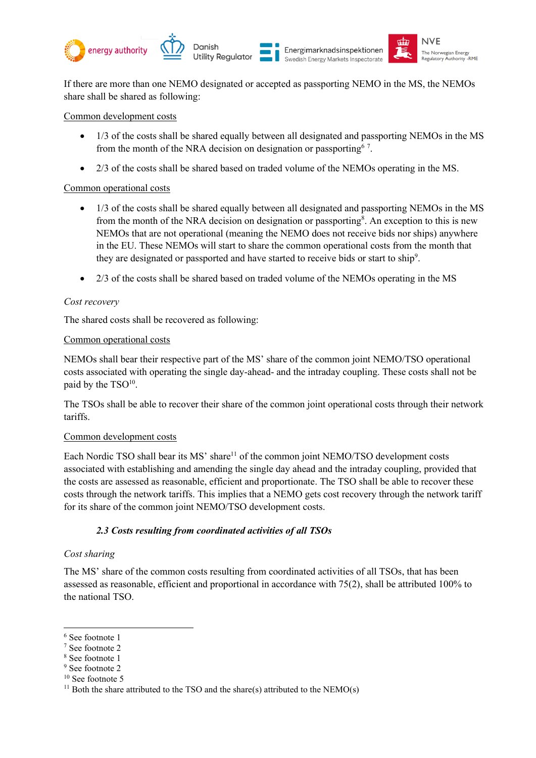

If there are more than one NEMO designated or accepted as passporting NEMO in the MS, the NEMOs share shall be shared as following:

Common development costs

- 1/3 of the costs shall be shared equally between all designated and passporting NEMOs in the MS from the month of the NRA decision on designation or passporting  $\frac{3}{2}$ .
- 2/3 of the costs shall be shared based on traded volume of the NEMOs operating in the MS.

## Common operational costs

- 1/3 of the costs shall be shared equally between all designated and passporting NEMOs in the MS from the month of the NRA decision on designation or passporting<sup>8</sup>. An exception to this is new NEMOs that are not operational (meaning the NEMO does not receive bids nor ships) anywhere in the EU. These NEMOs will start to share the common operational costs from the month that they are designated or passported and have started to receive bids or start to ship<sup>9</sup>.
- 2/3 of the costs shall be shared based on traded volume of the NEMOs operating in the MS

# *Cost recovery*

The shared costs shall be recovered as following:

## Common operational costs

NEMOs shall bear their respective part of the MS' share of the common joint NEMO/TSO operational costs associated with operating the single day-ahead- and the intraday coupling. These costs shall not be paid by the  $TSO<sup>10</sup>$ .

The TSOs shall be able to recover their share of the common joint operational costs through their network tariffs.

#### Common development costs

Each Nordic TSO shall bear its MS' share<sup>11</sup> of the common joint NEMO/TSO development costs associated with establishing and amending the single day ahead and the intraday coupling, provided that the costs are assessed as reasonable, efficient and proportionate. The TSO shall be able to recover these costs through the network tariffs. This implies that a NEMO gets cost recovery through the network tariff for its share of the common joint NEMO/TSO development costs.

# *2.3 Costs resulting from coordinated activities of all TSOs*

#### *Cost sharing*

The MS' share of the common costs resulting from coordinated activities of all TSOs, that has been assessed as reasonable, efficient and proportional in accordance with 75(2), shall be attributed 100% to the national TSO.

<sup>6</sup> See footnote 1

<sup>7</sup> See footnote 2

<sup>8</sup> See footnote 1

<sup>9</sup> See footnote 2

<sup>&</sup>lt;sup>10</sup> See footnote 5

<sup>&</sup>lt;sup>11</sup> Both the share attributed to the TSO and the share(s) attributed to the NEMO(s)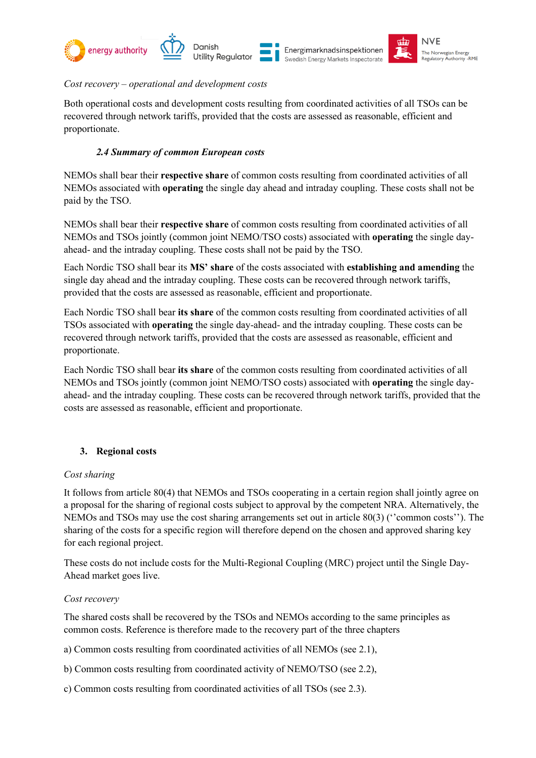



Danish **Utility Regulator** 





## *Cost recovery – operational and development costs*

Both operational costs and development costs resulting from coordinated activities of all TSOs can be recovered through network tariffs, provided that the costs are assessed as reasonable, efficient and proportionate.

# *2.4 Summary of common European costs*

NEMOs shall bear their **respective share** of common costs resulting from coordinated activities of all NEMOs associated with **operating** the single day ahead and intraday coupling. These costs shall not be paid by the TSO.

NEMOs shall bear their **respective share** of common costs resulting from coordinated activities of all NEMOs and TSOs jointly (common joint NEMO/TSO costs) associated with **operating** the single dayahead- and the intraday coupling. These costs shall not be paid by the TSO.

Each Nordic TSO shall bear its **MS' share** of the costs associated with **establishing and amending** the single day ahead and the intraday coupling. These costs can be recovered through network tariffs, provided that the costs are assessed as reasonable, efficient and proportionate.

Each Nordic TSO shall bear **its share** of the common costs resulting from coordinated activities of all TSOs associated with **operating** the single day-ahead- and the intraday coupling. These costs can be recovered through network tariffs, provided that the costs are assessed as reasonable, efficient and proportionate.

Each Nordic TSO shall bear **its share** of the common costs resulting from coordinated activities of all NEMOs and TSOs jointly (common joint NEMO/TSO costs) associated with **operating** the single dayahead- and the intraday coupling. These costs can be recovered through network tariffs, provided that the costs are assessed as reasonable, efficient and proportionate.

# **3. Regional costs**

# *Cost sharing*

It follows from article 80(4) that NEMOs and TSOs cooperating in a certain region shall jointly agree on a proposal for the sharing of regional costs subject to approval by the competent NRA. Alternatively, the NEMOs and TSOs may use the cost sharing arrangements set out in article 80(3) (''common costs''). The sharing of the costs for a specific region will therefore depend on the chosen and approved sharing key for each regional project.

These costs do not include costs for the Multi-Regional Coupling (MRC) project until the Single Day-Ahead market goes live.

#### *Cost recovery*

The shared costs shall be recovered by the TSOs and NEMOs according to the same principles as common costs. Reference is therefore made to the recovery part of the three chapters

a) Common costs resulting from coordinated activities of all NEMOs (see 2.1),

b) Common costs resulting from coordinated activity of NEMO/TSO (see 2.2),

c) Common costs resulting from coordinated activities of all TSOs (see 2.3).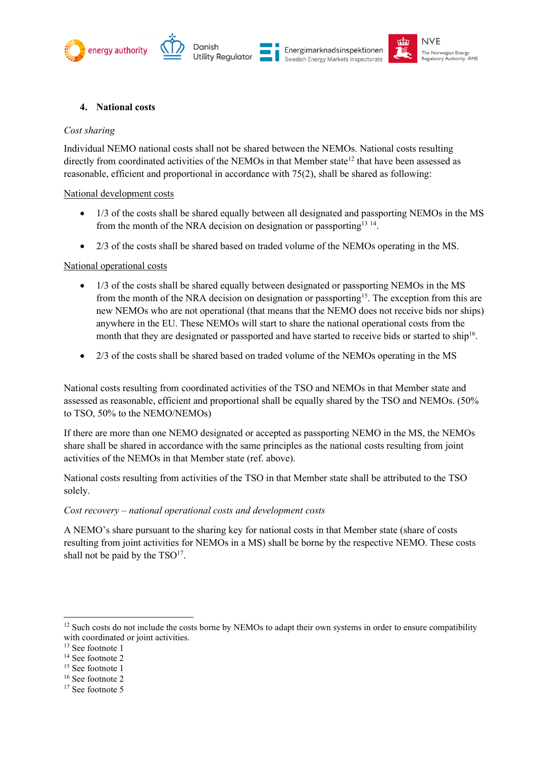







## **4. National costs**

#### *Cost sharing*

Individual NEMO national costs shall not be shared between the NEMOs. National costs resulting directly from coordinated activities of the NEMOs in that Member state<sup>12</sup> that have been assessed as reasonable, efficient and proportional in accordance with 75(2), shall be shared as following:

#### National development costs

- 1/3 of the costs shall be shared equally between all designated and passporting NEMOs in the MS from the month of the NRA decision on designation or passporting<sup>13 14</sup>.
- 2/3 of the costs shall be shared based on traded volume of the NEMOs operating in the MS.

## National operational costs

- 1/3 of the costs shall be shared equally between designated or passporting NEMOs in the MS from the month of the NRA decision on designation or passporting<sup>15</sup>. The exception from this are new NEMOs who are not operational (that means that the NEMO does not receive bids nor ships) anywhere in the EU. These NEMOs will start to share the national operational costs from the month that they are designated or passported and have started to receive bids or started to ship<sup>16</sup>.
- 2/3 of the costs shall be shared based on traded volume of the NEMOs operating in the MS

National costs resulting from coordinated activities of the TSO and NEMOs in that Member state and assessed as reasonable, efficient and proportional shall be equally shared by the TSO and NEMOs. (50% to TSO, 50% to the NEMO/NEMOs)

If there are more than one NEMO designated or accepted as passporting NEMO in the MS, the NEMOs share shall be shared in accordance with the same principles as the national costs resulting from joint activities of the NEMOs in that Member state (ref. above).

National costs resulting from activities of the TSO in that Member state shall be attributed to the TSO solely.

# *Cost recovery – national operational costs and development costs*

A NEMO's share pursuant to the sharing key for national costs in that Member state (share of costs resulting from joint activities for NEMOs in a MS) shall be borne by the respective NEMO. These costs shall not be paid by the  $TSO<sup>17</sup>$ .

<sup>&</sup>lt;sup>12</sup> Such costs do not include the costs borne by NEMOs to adapt their own systems in order to ensure compatibility with coordinated or joint activities.

<sup>&</sup>lt;sup>13</sup> See footnote 1

<sup>&</sup>lt;sup>14</sup> See footnote 2

<sup>&</sup>lt;sup>15</sup> See footnote 1

<sup>&</sup>lt;sup>16</sup> See footnote 2

<sup>&</sup>lt;sup>17</sup> See footnote 5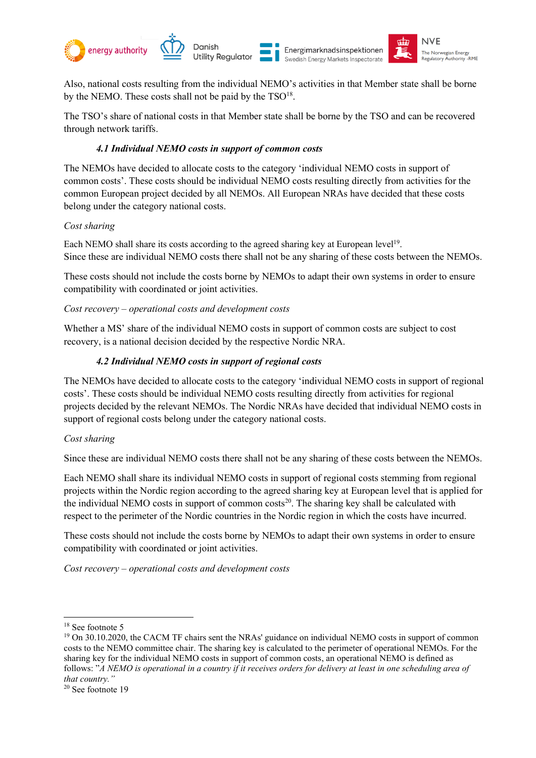

Also, national costs resulting from the individual NEMO's activities in that Member state shall be borne by the NEMO. These costs shall not be paid by the  $TSO^{18}$ .

The TSO's share of national costs in that Member state shall be borne by the TSO and can be recovered through network tariffs.

#### *4.1 Individual NEMO costs in support of common costs*

The NEMOs have decided to allocate costs to the category 'individual NEMO costs in support of common costs'. These costs should be individual NEMO costs resulting directly from activities for the common European project decided by all NEMOs. All European NRAs have decided that these costs belong under the category national costs.

## *Cost sharing*

Each NEMO shall share its costs according to the agreed sharing key at European level<sup>19</sup>. Since these are individual NEMO costs there shall not be any sharing of these costs between the NEMOs.

These costs should not include the costs borne by NEMOs to adapt their own systems in order to ensure compatibility with coordinated or joint activities.

## *Cost recovery – operational costs and development costs*

Whether a MS' share of the individual NEMO costs in support of common costs are subject to cost recovery, is a national decision decided by the respective Nordic NRA.

## *4.2 Individual NEMO costs in support of regional costs*

The NEMOs have decided to allocate costs to the category 'individual NEMO costs in support of regional costs'. These costs should be individual NEMO costs resulting directly from activities for regional projects decided by the relevant NEMOs. The Nordic NRAs have decided that individual NEMO costs in support of regional costs belong under the category national costs.

#### *Cost sharing*

Since these are individual NEMO costs there shall not be any sharing of these costs between the NEMOs.

Each NEMO shall share its individual NEMO costs in support of regional costs stemming from regional projects within the Nordic region according to the agreed sharing key at European level that is applied for the individual NEMO costs in support of common costs<sup>20</sup>. The sharing key shall be calculated with respect to the perimeter of the Nordic countries in the Nordic region in which the costs have incurred.

These costs should not include the costs borne by NEMOs to adapt their own systems in order to ensure compatibility with coordinated or joint activities.

*Cost recovery – operational costs and development costs*

<sup>18</sup> See footnote 5

<sup>&</sup>lt;sup>19</sup> On 30.10.2020, the CACM TF chairs sent the NRAs' guidance on individual NEMO costs in support of common costs to the NEMO committee chair. The sharing key is calculated to the perimeter of operational NEMOs. For the sharing key for the individual NEMO costs in support of common costs, an operational NEMO is defined as follows: "*A NEMO is operational in a country if it receives orders for delivery at least in one scheduling area of that country."*

<sup>20</sup> See footnote 19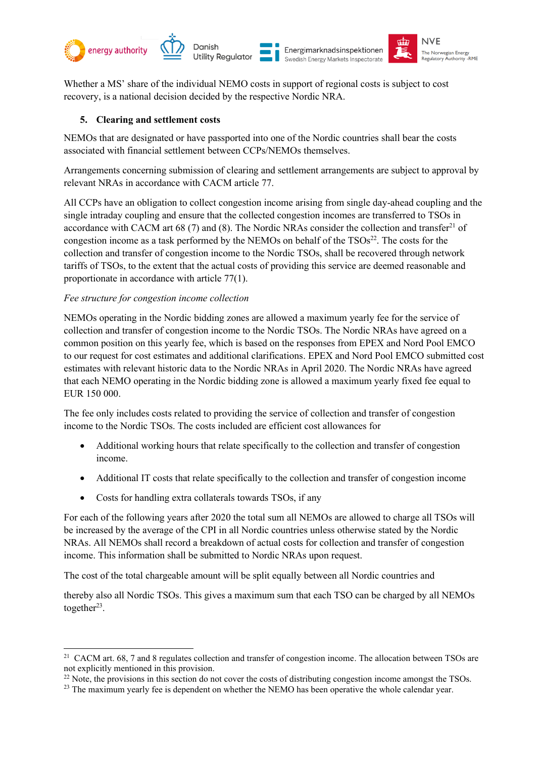

Whether a MS' share of the individual NEMO costs in support of regional costs is subject to cost recovery, is a national decision decided by the respective Nordic NRA.

# **5. Clearing and settlement costs**

NEMOs that are designated or have passported into one of the Nordic countries shall bear the costs associated with financial settlement between CCPs/NEMOs themselves.

Arrangements concerning submission of clearing and settlement arrangements are subject to approval by relevant NRAs in accordance with CACM article 77.

All CCPs have an obligation to collect congestion income arising from single day-ahead coupling and the single intraday coupling and ensure that the collected congestion incomes are transferred to TSOs in accordance with CACM art 68 (7) and (8). The Nordic NRAs consider the collection and transfer<sup>21</sup> of congestion income as a task performed by the NEMOs on behalf of the  $TSOs<sup>22</sup>$ . The costs for the collection and transfer of congestion income to the Nordic TSOs, shall be recovered through network tariffs of TSOs, to the extent that the actual costs of providing this service are deemed reasonable and proportionate in accordance with article 77(1).

# *Fee structure for congestion income collection*

NEMOs operating in the Nordic bidding zones are allowed a maximum yearly fee for the service of collection and transfer of congestion income to the Nordic TSOs. The Nordic NRAs have agreed on a common position on this yearly fee, which is based on the responses from EPEX and Nord Pool EMCO to our request for cost estimates and additional clarifications. EPEX and Nord Pool EMCO submitted cost estimates with relevant historic data to the Nordic NRAs in April 2020. The Nordic NRAs have agreed that each NEMO operating in the Nordic bidding zone is allowed a maximum yearly fixed fee equal to EUR 150 000.

The fee only includes costs related to providing the service of collection and transfer of congestion income to the Nordic TSOs. The costs included are efficient cost allowances for

- Additional working hours that relate specifically to the collection and transfer of congestion income.
- Additional IT costs that relate specifically to the collection and transfer of congestion income
- Costs for handling extra collaterals towards TSOs, if any

For each of the following years after 2020 the total sum all NEMOs are allowed to charge all TSOs will be increased by the average of the CPI in all Nordic countries unless otherwise stated by the Nordic NRAs. All NEMOs shall record a breakdown of actual costs for collection and transfer of congestion income. This information shall be submitted to Nordic NRAs upon request.

The cost of the total chargeable amount will be split equally between all Nordic countries and

thereby also all Nordic TSOs. This gives a maximum sum that each TSO can be charged by all NEMOs together $23$ .

<sup>&</sup>lt;sup>21</sup> CACM art. 68, 7 and 8 regulates collection and transfer of congestion income. The allocation between TSOs are not explicitly mentioned in this provision.

 $^{22}$  Note, the provisions in this section do not cover the costs of distributing congestion income amongst the TSOs.

<sup>&</sup>lt;sup>23</sup> The maximum yearly fee is dependent on whether the NEMO has been operative the whole calendar year.